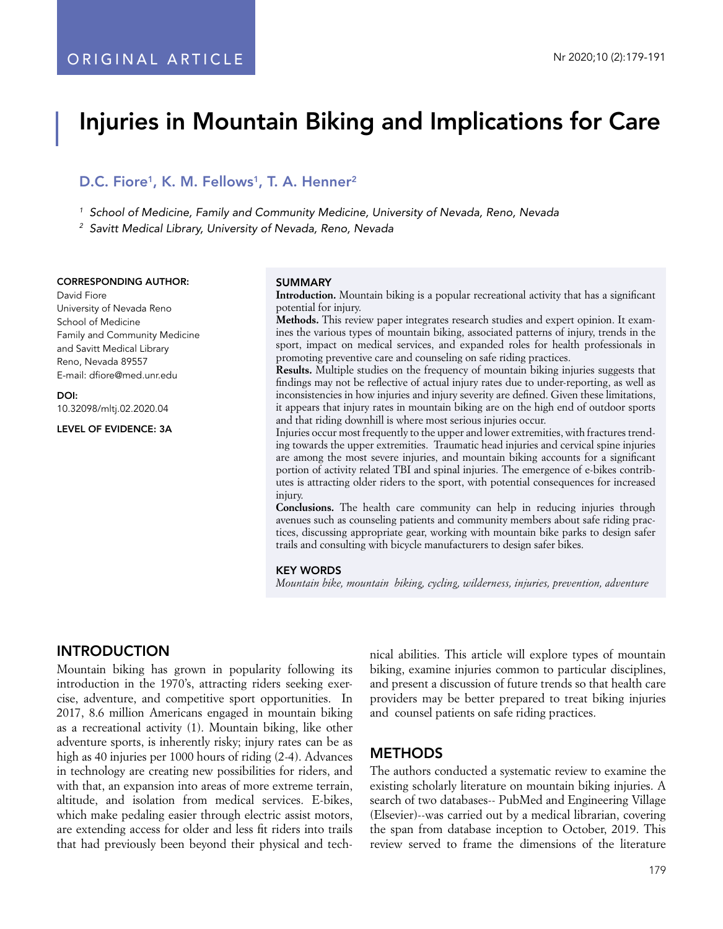# Injuries in Mountain Biking and Implications for Care

# D.C. Fiore<sup>1</sup>, K. M. Fellows<sup>1</sup>, T. A. Henner<sup>2</sup>

*<sup>1</sup> School of Medicine, Family and Community Medicine, University of Nevada, Reno, Nevada*

*<sup>2</sup> Savitt Medical Library, University of Nevada, Reno, Nevada*

#### CORRESPONDING AUTHOR:

David Fiore University of Nevada Reno School of Medicine Family and Community Medicine and Savitt Medical Library Reno, Nevada 89557 E-mail: dfiore@med.unr.edu

DOI: 10.32098/mltj.02.2020.04

LEVEL OF EVIDENCE: 3A

#### **SUMMARY**

**Introduction.** Mountain biking is a popular recreational activity that has a significant potential for injury.

**Methods.** This review paper integrates research studies and expert opinion. It examines the various types of mountain biking, associated patterns of injury, trends in the sport, impact on medical services, and expanded roles for health professionals in promoting preventive care and counseling on safe riding practices.

**Results.** Multiple studies on the frequency of mountain biking injuries suggests that findings may not be reflective of actual injury rates due to under-reporting, as well as inconsistencies in how injuries and injury severity are defined. Given these limitations, it appears that injury rates in mountain biking are on the high end of outdoor sports and that riding downhill is where most serious injuries occur.

Injuries occur most frequently to the upper and lower extremities, with fractures trending towards the upper extremities. Traumatic head injuries and cervical spine injuries are among the most severe injuries, and mountain biking accounts for a significant portion of activity related TBI and spinal injuries. The emergence of e-bikes contributes is attracting older riders to the sport, with potential consequences for increased injury.

**Conclusions.** The health care community can help in reducing injuries through avenues such as counseling patients and community members about safe riding practices, discussing appropriate gear, working with mountain bike parks to design safer trails and consulting with bicycle manufacturers to design safer bikes.

#### KEY WORDS

*Mountain bike, mountain biking, cycling, wilderness, injuries, prevention, adventure*

# INTRODUCTION

Mountain biking has grown in popularity following its introduction in the 1970's, attracting riders seeking exercise, adventure, and competitive sport opportunities. In 2017, 8.6 million Americans engaged in mountain biking as a recreational activity (1). Mountain biking, like other adventure sports, is inherently risky; injury rates can be as high as 40 injuries per 1000 hours of riding (2-4). Advances in technology are creating new possibilities for riders, and with that, an expansion into areas of more extreme terrain, altitude, and isolation from medical services. E-bikes, which make pedaling easier through electric assist motors, are extending access for older and less fit riders into trails that had previously been beyond their physical and technical abilities. This article will explore types of mountain biking, examine injuries common to particular disciplines, and present a discussion of future trends so that health care providers may be better prepared to treat biking injuries and counsel patients on safe riding practices.

# **METHODS**

The authors conducted a systematic review to examine the existing scholarly literature on mountain biking injuries. A search of two databases-- PubMed and Engineering Village (Elsevier)--was carried out by a medical librarian, covering the span from database inception to October, 2019. This review served to frame the dimensions of the literature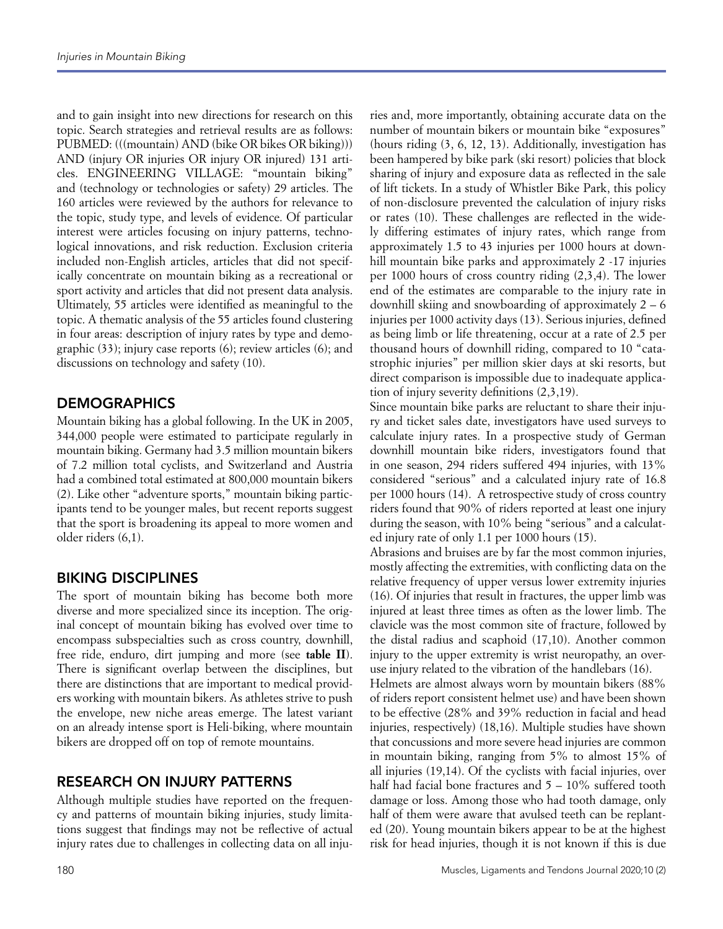and to gain insight into new directions for research on this topic. Search strategies and retrieval results are as follows: PUBMED: (((mountain) AND (bike OR bikes OR biking))) AND (injury OR injuries OR injury OR injured) 131 articles. ENGINEERING VILLAGE: "mountain biking" and (technology or technologies or safety) 29 articles. The 160 articles were reviewed by the authors for relevance to the topic, study type, and levels of evidence. Of particular interest were articles focusing on injury patterns, technological innovations, and risk reduction. Exclusion criteria included non-English articles, articles that did not specifically concentrate on mountain biking as a recreational or sport activity and articles that did not present data analysis. Ultimately, 55 articles were identified as meaningful to the topic. A thematic analysis of the 55 articles found clustering in four areas: description of injury rates by type and demographic (33); injury case reports (6); review articles (6); and discussions on technology and safety (10).

# **DEMOGRAPHICS**

Mountain biking has a global following. In the UK in 2005, 344,000 people were estimated to participate regularly in mountain biking. Germany had 3.5 million mountain bikers of 7.2 million total cyclists, and Switzerland and Austria had a combined total estimated at 800,000 mountain bikers (2). Like other "adventure sports," mountain biking participants tend to be younger males, but recent reports suggest that the sport is broadening its appeal to more women and older riders (6,1).

# BIKING DISCIPLINES

The sport of mountain biking has become both more diverse and more specialized since its inception. The original concept of mountain biking has evolved over time to encompass subspecialties such as cross country, downhill, free ride, enduro, dirt jumping and more (see **table II**). There is significant overlap between the disciplines, but there are distinctions that are important to medical providers working with mountain bikers. As athletes strive to push the envelope, new niche areas emerge. The latest variant on an already intense sport is Heli-biking, where mountain bikers are dropped off on top of remote mountains.

# RESEARCH ON INJURY PATTERNS

Although multiple studies have reported on the frequency and patterns of mountain biking injuries, study limitations suggest that findings may not be reflective of actual injury rates due to challenges in collecting data on all inju-

ries and, more importantly, obtaining accurate data on the number of mountain bikers or mountain bike "exposures" (hours riding (3, 6, 12, 13). Additionally, investigation has been hampered by bike park (ski resort) policies that block sharing of injury and exposure data as reflected in the sale of lift tickets. In a study of Whistler Bike Park, this policy of non-disclosure prevented the calculation of injury risks or rates (10). These challenges are reflected in the widely differing estimates of injury rates, which range from approximately 1.5 to 43 injuries per 1000 hours at downhill mountain bike parks and approximately 2 -17 injuries per 1000 hours of cross country riding (2,3,4). The lower end of the estimates are comparable to the injury rate in downhill skiing and snowboarding of approximately  $2 - 6$ injuries per 1000 activity days (13). Serious injuries, defined as being limb or life threatening, occur at a rate of 2.5 per thousand hours of downhill riding, compared to 10 "catastrophic injuries" per million skier days at ski resorts, but direct comparison is impossible due to inadequate application of injury severity definitions (2,3,19).

Since mountain bike parks are reluctant to share their injury and ticket sales date, investigators have used surveys to calculate injury rates. In a prospective study of German downhill mountain bike riders, investigators found that in one season, 294 riders suffered 494 injuries, with 13% considered "serious" and a calculated injury rate of 16.8 per 1000 hours (14). A retrospective study of cross country riders found that 90% of riders reported at least one injury during the season, with 10% being "serious" and a calculated injury rate of only 1.1 per 1000 hours (15).

Abrasions and bruises are by far the most common injuries, mostly affecting the extremities, with conflicting data on the relative frequency of upper versus lower extremity injuries (16). Of injuries that result in fractures, the upper limb was injured at least three times as often as the lower limb. The clavicle was the most common site of fracture, followed by the distal radius and scaphoid (17,10). Another common injury to the upper extremity is wrist neuropathy, an overuse injury related to the vibration of the handlebars (16).

Helmets are almost always worn by mountain bikers (88% of riders report consistent helmet use) and have been shown to be effective (28% and 39% reduction in facial and head injuries, respectively) (18,16). Multiple studies have shown that concussions and more severe head injuries are common in mountain biking, ranging from 5% to almost 15% of all injuries (19,14). Of the cyclists with facial injuries, over half had facial bone fractures and  $5 - 10\%$  suffered tooth damage or loss. Among those who had tooth damage, only half of them were aware that avulsed teeth can be replanted (20). Young mountain bikers appear to be at the highest risk for head injuries, though it is not known if this is due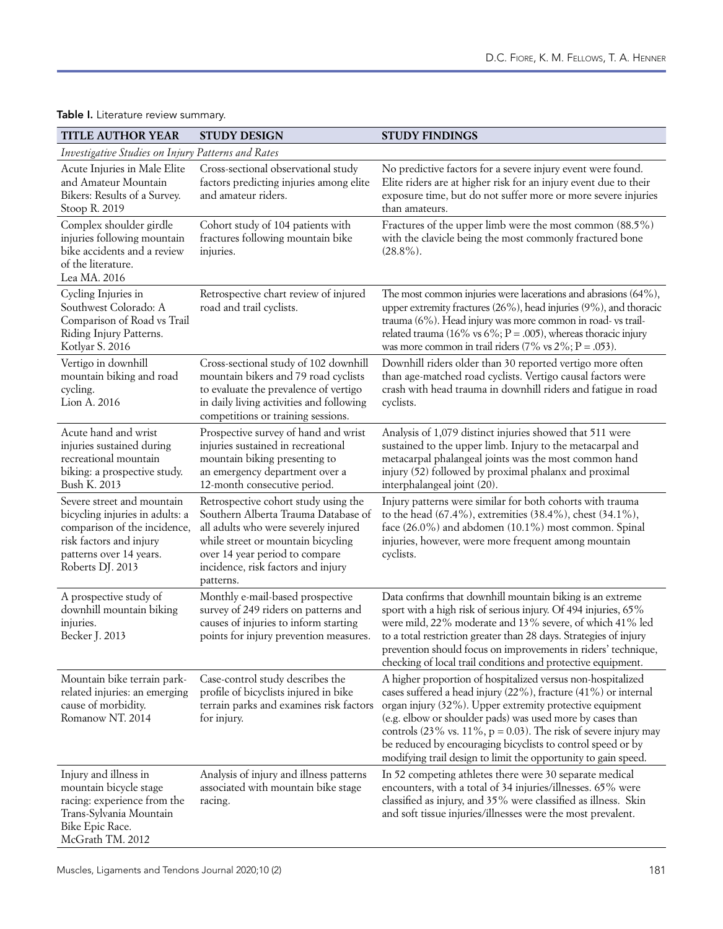| <b>TITLE AUTHOR YEAR</b>                                                                                                                                                | <b>STUDY DESIGN</b>                                                                                                                                                                                                                            | <b>STUDY FINDINGS</b>                                                                                                                                                                                                                                                                                                                                                                                                                                                            |
|-------------------------------------------------------------------------------------------------------------------------------------------------------------------------|------------------------------------------------------------------------------------------------------------------------------------------------------------------------------------------------------------------------------------------------|----------------------------------------------------------------------------------------------------------------------------------------------------------------------------------------------------------------------------------------------------------------------------------------------------------------------------------------------------------------------------------------------------------------------------------------------------------------------------------|
| Investigative Studies on Injury Patterns and Rates                                                                                                                      |                                                                                                                                                                                                                                                |                                                                                                                                                                                                                                                                                                                                                                                                                                                                                  |
| Acute Injuries in Male Elite<br>and Amateur Mountain<br>Bikers: Results of a Survey.<br>Stoop R. 2019                                                                   | Cross-sectional observational study<br>factors predicting injuries among elite<br>and amateur riders.                                                                                                                                          | No predictive factors for a severe injury event were found.<br>Elite riders are at higher risk for an injury event due to their<br>exposure time, but do not suffer more or more severe injuries<br>than amateurs.                                                                                                                                                                                                                                                               |
| Complex shoulder girdle<br>injuries following mountain<br>bike accidents and a review<br>of the literature.<br>Lea MA. 2016                                             | Cohort study of 104 patients with<br>fractures following mountain bike<br>injuries.                                                                                                                                                            | Fractures of the upper limb were the most common (88.5%)<br>with the clavicle being the most commonly fractured bone<br>$(28.8\%)$ .                                                                                                                                                                                                                                                                                                                                             |
| Cycling Injuries in<br>Southwest Colorado: A<br>Comparison of Road vs Trail<br>Riding Injury Patterns.<br>Kotlyar S. 2016                                               | Retrospective chart review of injured<br>road and trail cyclists.                                                                                                                                                                              | The most common injuries were lacerations and abrasions (64%),<br>upper extremity fractures (26%), head injuries (9%), and thoracic<br>trauma (6%). Head injury was more common in road- vs trail-<br>related trauma (16% vs 6%; $P = .005$ ), whereas thoracic injury<br>was more common in trail riders $(7\% \text{ vs } 2\%; P = .053)$ .                                                                                                                                    |
| Vertigo in downhill<br>mountain biking and road<br>cycling.<br>Lion A. 2016                                                                                             | Cross-sectional study of 102 downhill<br>mountain bikers and 79 road cyclists<br>to evaluate the prevalence of vertigo<br>in daily living activities and following<br>competitions or training sessions.                                       | Downhill riders older than 30 reported vertigo more often<br>than age-matched road cyclists. Vertigo causal factors were<br>crash with head trauma in downhill riders and fatigue in road<br>cyclists.                                                                                                                                                                                                                                                                           |
| Acute hand and wrist<br>injuries sustained during<br>recreational mountain<br>biking: a prospective study.<br>Bush K. 2013                                              | Prospective survey of hand and wrist<br>injuries sustained in recreational<br>mountain biking presenting to<br>an emergency department over a<br>12-month consecutive period.                                                                  | Analysis of 1,079 distinct injuries showed that 511 were<br>sustained to the upper limb. Injury to the metacarpal and<br>metacarpal phalangeal joints was the most common hand<br>injury (52) followed by proximal phalanx and proximal<br>interphalangeal joint (20).                                                                                                                                                                                                           |
| Severe street and mountain<br>bicycling injuries in adults: a<br>comparison of the incidence,<br>risk factors and injury<br>patterns over 14 years.<br>Roberts DJ. 2013 | Retrospective cohort study using the<br>Southern Alberta Trauma Database of<br>all adults who were severely injured<br>while street or mountain bicycling<br>over 14 year period to compare<br>incidence, risk factors and injury<br>patterns. | Injury patterns were similar for both cohorts with trauma<br>to the head (67.4%), extremities (38.4%), chest (34.1%),<br>face (26.0%) and abdomen (10.1%) most common. Spinal<br>injuries, however, were more frequent among mountain<br>cyclists.                                                                                                                                                                                                                               |
| A prospective study of<br>downhill mountain biking<br>injuries.<br>Becker J. 2013                                                                                       | Monthly e-mail-based prospective<br>survey of 249 riders on patterns and<br>causes of injuries to inform starting<br>points for injury prevention measures.                                                                                    | Data confirms that downhill mountain biking is an extreme<br>sport with a high risk of serious injury. Of 494 injuries, 65%<br>were mild, 22% moderate and 13% severe, of which 41% led<br>to a total restriction greater than 28 days. Strategies of injury<br>prevention should focus on improvements in riders' technique,<br>checking of local trail conditions and protective equipment.                                                                                    |
| Mountain bike terrain park-<br>related injuries: an emerging<br>cause of morbidity.<br>Romanow NT. 2014                                                                 | Case-control study describes the<br>profile of bicyclists injured in bike<br>terrain parks and examines risk factors<br>for injury.                                                                                                            | A higher proportion of hospitalized versus non-hospitalized<br>cases suffered a head injury (22%), fracture (41%) or internal<br>organ injury (32%). Upper extremity protective equipment<br>(e.g. elbow or shoulder pads) was used more by cases than<br>controls $(23\% \text{ vs. } 11\%, \text{ p} = 0.03)$ . The risk of severe injury may<br>be reduced by encouraging bicyclists to control speed or by<br>modifying trail design to limit the opportunity to gain speed. |
| Injury and illness in<br>mountain bicycle stage<br>racing: experience from the<br>Trans-Sylvania Mountain<br>Bike Epic Race.<br>McGrath TM. 2012                        | Analysis of injury and illness patterns<br>associated with mountain bike stage<br>racing.                                                                                                                                                      | In 52 competing athletes there were 30 separate medical<br>encounters, with a total of 34 injuries/illnesses. 65% were<br>classified as injury, and 35% were classified as illness. Skin<br>and soft tissue injuries/illnesses were the most prevalent.                                                                                                                                                                                                                          |

# Table I. Literature review summary.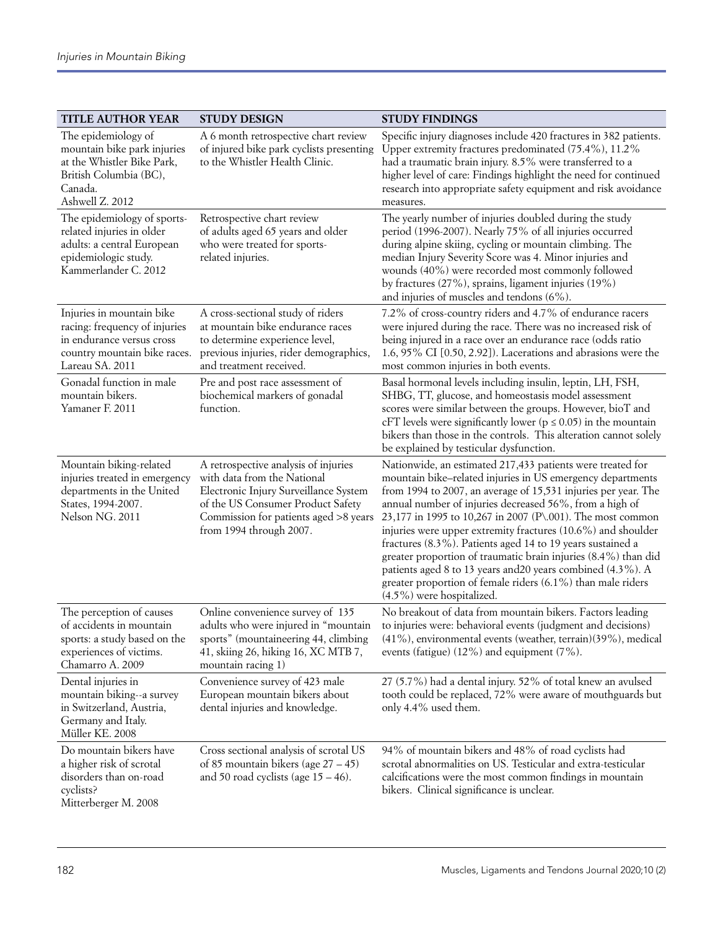| <b>TITLE AUTHOR YEAR</b>                                                                                                                   | <b>STUDY DESIGN</b>                                                                                                                                                                                                   | <b>STUDY FINDINGS</b>                                                                                                                                                                                                                                                                                                                                                                                                                                                                                                                                                                                                                                                             |
|--------------------------------------------------------------------------------------------------------------------------------------------|-----------------------------------------------------------------------------------------------------------------------------------------------------------------------------------------------------------------------|-----------------------------------------------------------------------------------------------------------------------------------------------------------------------------------------------------------------------------------------------------------------------------------------------------------------------------------------------------------------------------------------------------------------------------------------------------------------------------------------------------------------------------------------------------------------------------------------------------------------------------------------------------------------------------------|
| The epidemiology of<br>mountain bike park injuries<br>at the Whistler Bike Park,<br>British Columbia (BC),<br>Canada.<br>Ashwell Z. 2012   | A 6 month retrospective chart review<br>of injured bike park cyclists presenting<br>to the Whistler Health Clinic.                                                                                                    | Specific injury diagnoses include 420 fractures in 382 patients.<br>Upper extremity fractures predominated (75.4%), 11.2%<br>had a traumatic brain injury. 8.5% were transferred to a<br>higher level of care: Findings highlight the need for continued<br>research into appropriate safety equipment and risk avoidance<br>measures.                                                                                                                                                                                                                                                                                                                                            |
| The epidemiology of sports-<br>related injuries in older<br>adults: a central European<br>epidemiologic study.<br>Kammerlander C. 2012     | Retrospective chart review<br>of adults aged 65 years and older<br>who were treated for sports-<br>related injuries.                                                                                                  | The yearly number of injuries doubled during the study<br>period (1996-2007). Nearly 75% of all injuries occurred<br>during alpine skiing, cycling or mountain climbing. The<br>median Injury Severity Score was 4. Minor injuries and<br>wounds (40%) were recorded most commonly followed<br>by fractures (27%), sprains, ligament injuries (19%)<br>and injuries of muscles and tendons (6%).                                                                                                                                                                                                                                                                                  |
| Injuries in mountain bike<br>racing: frequency of injuries<br>in endurance versus cross<br>country mountain bike races.<br>Lareau SA. 2011 | A cross-sectional study of riders<br>at mountain bike endurance races<br>to determine experience level,<br>previous injuries, rider demographics,<br>and treatment received.                                          | 7.2% of cross-country riders and 4.7% of endurance racers<br>were injured during the race. There was no increased risk of<br>being injured in a race over an endurance race (odds ratio<br>1.6, 95% CI [0.50, 2.92]). Lacerations and abrasions were the<br>most common injuries in both events.                                                                                                                                                                                                                                                                                                                                                                                  |
| Gonadal function in male<br>mountain bikers.<br>Yamaner F. 2011                                                                            | Pre and post race assessment of<br>biochemical markers of gonadal<br>function.                                                                                                                                        | Basal hormonal levels including insulin, leptin, LH, FSH,<br>SHBG, TT, glucose, and homeostasis model assessment<br>scores were similar between the groups. However, bioT and<br>cFT levels were significantly lower ( $p \le 0.05$ ) in the mountain<br>bikers than those in the controls. This alteration cannot solely<br>be explained by testicular dysfunction.                                                                                                                                                                                                                                                                                                              |
| Mountain biking-related<br>injuries treated in emergency<br>departments in the United<br>States, 1994-2007.<br>Nelson NG. 2011             | A retrospective analysis of injuries<br>with data from the National<br>Electronic Injury Surveillance System<br>of the US Consumer Product Safety<br>Commission for patients aged >8 years<br>from 1994 through 2007. | Nationwide, an estimated 217,433 patients were treated for<br>mountain bike-related injuries in US emergency departments<br>from 1994 to 2007, an average of 15,531 injuries per year. The<br>annual number of injuries decreased 56%, from a high of<br>23,177 in 1995 to 10,267 in 2007 (P\.001). The most common<br>injuries were upper extremity fractures (10.6%) and shoulder<br>fractures (8.3%). Patients aged 14 to 19 years sustained a<br>greater proportion of traumatic brain injuries (8.4%) than did<br>patients aged 8 to 13 years and 20 years combined (4.3%). A<br>greater proportion of female riders (6.1%) than male riders<br>$(4.5\%)$ were hospitalized. |
| The perception of causes<br>of accidents in mountain<br>sports: a study based on the<br>experiences of victims.<br>Chamarro A. 2009        | Online convenience survey of 135<br>adults who were injured in "mountain<br>sports" (mountaineering 44, climbing<br>41, skiing 26, hiking 16, XC MTB 7,<br>mountain racing 1)                                         | No breakout of data from mountain bikers. Factors leading<br>to injuries were: behavioral events (judgment and decisions)<br>(41%), environmental events (weather, terrain)(39%), medical<br>events (fatigue) $(12\%)$ and equipment $(7\%)$ .                                                                                                                                                                                                                                                                                                                                                                                                                                    |
| Dental injuries in<br>mountain biking--a survey<br>in Switzerland, Austria,<br>Germany and Italy.<br>Müller KE. 2008                       | Convenience survey of 423 male<br>European mountain bikers about<br>dental injuries and knowledge.                                                                                                                    | 27 (5.7%) had a dental injury. 52% of total knew an avulsed<br>tooth could be replaced, 72% were aware of mouthguards but<br>only 4.4% used them.                                                                                                                                                                                                                                                                                                                                                                                                                                                                                                                                 |
| Do mountain bikers have<br>a higher risk of scrotal<br>disorders than on-road<br>cyclists?<br>Mitterberger M. 2008                         | Cross sectional analysis of scrotal US<br>of 85 mountain bikers (age $27 - 45$ )<br>and 50 road cyclists (age $15 - 46$ ).                                                                                            | 94% of mountain bikers and 48% of road cyclists had<br>scrotal abnormalities on US. Testicular and extra-testicular<br>calcifications were the most common findings in mountain<br>bikers. Clinical significance is unclear.                                                                                                                                                                                                                                                                                                                                                                                                                                                      |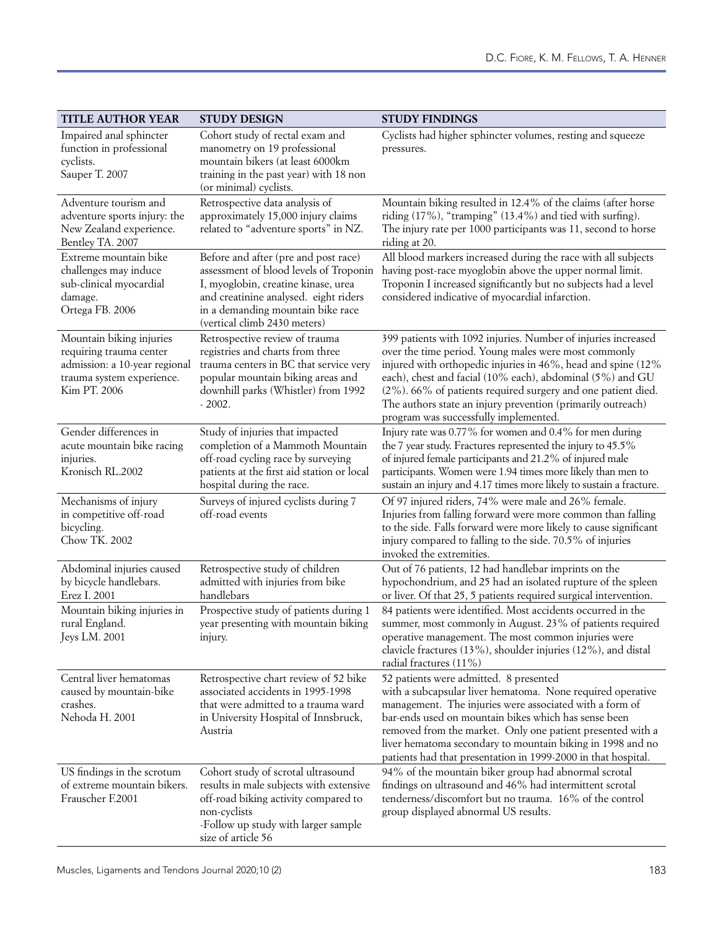| <b>TITLE AUTHOR YEAR</b>                                                                                                          | <b>STUDY DESIGN</b>                                                                                                                                                                                                                 | <b>STUDY FINDINGS</b>                                                                                                                                                                                                                                                                                                                                                                                                      |
|-----------------------------------------------------------------------------------------------------------------------------------|-------------------------------------------------------------------------------------------------------------------------------------------------------------------------------------------------------------------------------------|----------------------------------------------------------------------------------------------------------------------------------------------------------------------------------------------------------------------------------------------------------------------------------------------------------------------------------------------------------------------------------------------------------------------------|
| Impaired anal sphincter<br>function in professional<br>cyclists.<br>Sauper T. 2007                                                | Cohort study of rectal exam and<br>manometry on 19 professional<br>mountain bikers (at least 6000km<br>training in the past year) with 18 non<br>(or minimal) cyclists.                                                             | Cyclists had higher sphincter volumes, resting and squeeze<br>pressures.                                                                                                                                                                                                                                                                                                                                                   |
| Adventure tourism and<br>adventure sports injury: the<br>New Zealand experience.<br>Bentley TA. 2007                              | Retrospective data analysis of<br>approximately 15,000 injury claims<br>related to "adventure sports" in NZ.                                                                                                                        | Mountain biking resulted in 12.4% of the claims (after horse<br>riding (17%), "tramping" (13.4%) and tied with surfing).<br>The injury rate per 1000 participants was 11, second to horse<br>riding at 20.                                                                                                                                                                                                                 |
| Extreme mountain bike<br>challenges may induce<br>sub-clinical myocardial<br>damage.<br>Ortega FB. 2006                           | Before and after (pre and post race)<br>assessment of blood levels of Troponin<br>I, myoglobin, creatine kinase, urea<br>and creatinine analysed. eight riders<br>in a demanding mountain bike race<br>(vertical climb 2430 meters) | All blood markers increased during the race with all subjects<br>having post-race myoglobin above the upper normal limit.<br>Troponin I increased significantly but no subjects had a level<br>considered indicative of myocardial infarction.                                                                                                                                                                             |
| Mountain biking injuries<br>requiring trauma center<br>admission: a 10-year regional<br>trauma system experience.<br>Kim PT. 2006 | Retrospective review of trauma<br>registries and charts from three<br>trauma centers in BC that service very<br>popular mountain biking areas and<br>downhill parks (Whistler) from 1992<br>$-2002.$                                | 399 patients with 1092 injuries. Number of injuries increased<br>over the time period. Young males were most commonly<br>injured with orthopedic injuries in 46%, head and spine (12%<br>each), chest and facial (10% each), abdominal (5%) and GU<br>(2%). 66% of patients required surgery and one patient died.<br>The authors state an injury prevention (primarily outreach)<br>program was successfully implemented. |
| Gender differences in<br>acute mountain bike racing<br>injuries.<br>Kronisch RL.2002                                              | Study of injuries that impacted<br>completion of a Mammoth Mountain<br>off-road cycling race by surveying<br>patients at the first aid station or local<br>hospital during the race.                                                | Injury rate was 0.77% for women and 0.4% for men during<br>the 7 year study. Fractures represented the injury to 45.5%<br>of injured female participants and 21.2% of injured male<br>participants. Women were 1.94 times more likely than men to<br>sustain an injury and 4.17 times more likely to sustain a fracture.                                                                                                   |
| Mechanisms of injury<br>in competitive off-road<br>bicycling.<br>Chow TK. 2002                                                    | Surveys of injured cyclists during 7<br>off-road events                                                                                                                                                                             | Of 97 injured riders, 74% were male and 26% female.<br>Injuries from falling forward were more common than falling<br>to the side. Falls forward were more likely to cause significant<br>injury compared to falling to the side. 70.5% of injuries<br>invoked the extremities.                                                                                                                                            |
| Abdominal injuries caused<br>by bicycle handlebars.<br>Erez I. 2001                                                               | Retrospective study of children<br>admitted with injuries from bike<br>handlebars                                                                                                                                                   | Out of 76 patients, 12 had handlebar imprints on the<br>hypochondrium, and 25 had an isolated rupture of the spleen<br>or liver. Of that 25, 5 patients required surgical intervention.                                                                                                                                                                                                                                    |
| Mountain biking injuries in<br>rural England.<br>Jeys LM. 2001                                                                    | Prospective study of patients during 1<br>year presenting with mountain biking<br>injury.                                                                                                                                           | 84 patients were identified. Most accidents occurred in the<br>summer, most commonly in August. 23% of patients required<br>operative management. The most common injuries were<br>clavicle fractures (13%), shoulder injuries (12%), and distal<br>radial fractures (11%)                                                                                                                                                 |
| Central liver hematomas<br>caused by mountain-bike<br>crashes.<br>Nehoda H. 2001                                                  | Retrospective chart review of 52 bike<br>associated accidents in 1995-1998<br>that were admitted to a trauma ward<br>in University Hospital of Innsbruck,<br>Austria                                                                | 52 patients were admitted. 8 presented<br>with a subcapsular liver hematoma. None required operative<br>management. The injuries were associated with a form of<br>bar-ends used on mountain bikes which has sense been<br>removed from the market. Only one patient presented with a<br>liver hematoma secondary to mountain biking in 1998 and no<br>patients had that presentation in 1999-2000 in that hospital.       |
| US findings in the scrotum<br>of extreme mountain bikers.<br>Frauscher F.2001                                                     | Cohort study of scrotal ultrasound<br>results in male subjects with extensive<br>off-road biking activity compared to<br>non-cyclists<br>-Follow up study with larger sample<br>size of article 56                                  | 94% of the mountain biker group had abnormal scrotal<br>findings on ultrasound and 46% had intermittent scrotal<br>tenderness/discomfort but no trauma. 16% of the control<br>group displayed abnormal US results.                                                                                                                                                                                                         |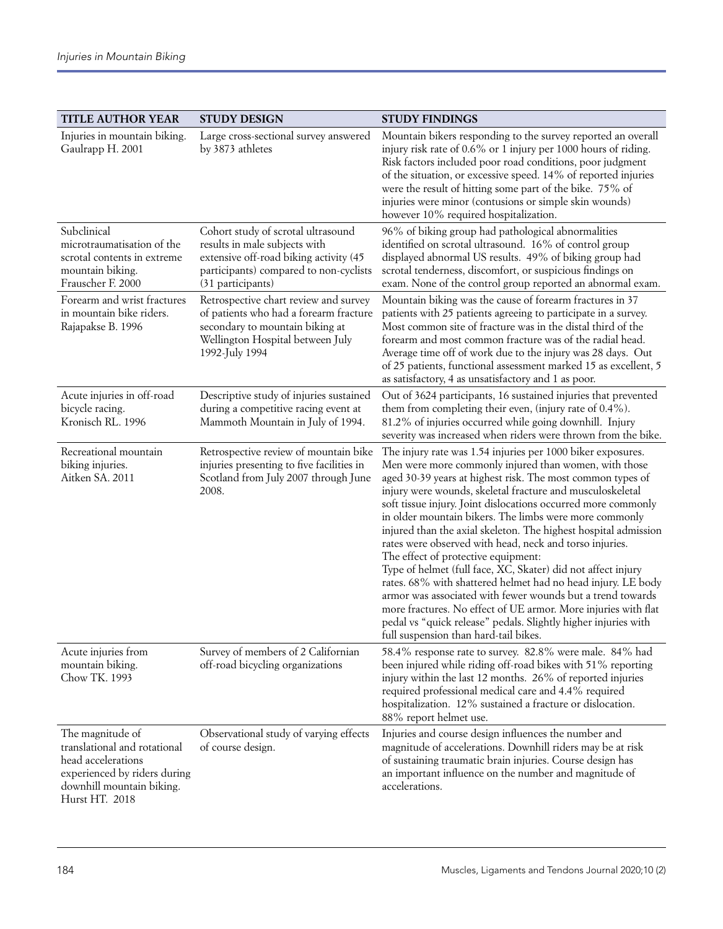| <b>TITLE AUTHOR YEAR</b>                                                                                                                              | <b>STUDY DESIGN</b>                                                                                                                                                          | <b>STUDY FINDINGS</b>                                                                                                                                                                                                                                                                                                                                                                                                                                                                                                                                                                                                                                                                                                                                                                                                                                                                                                      |
|-------------------------------------------------------------------------------------------------------------------------------------------------------|------------------------------------------------------------------------------------------------------------------------------------------------------------------------------|----------------------------------------------------------------------------------------------------------------------------------------------------------------------------------------------------------------------------------------------------------------------------------------------------------------------------------------------------------------------------------------------------------------------------------------------------------------------------------------------------------------------------------------------------------------------------------------------------------------------------------------------------------------------------------------------------------------------------------------------------------------------------------------------------------------------------------------------------------------------------------------------------------------------------|
| Injuries in mountain biking.<br>Gaulrapp H. 2001                                                                                                      | Large cross-sectional survey answered<br>by 3873 athletes                                                                                                                    | Mountain bikers responding to the survey reported an overall<br>injury risk rate of 0.6% or 1 injury per 1000 hours of riding.<br>Risk factors included poor road conditions, poor judgment<br>of the situation, or excessive speed. 14% of reported injuries<br>were the result of hitting some part of the bike. 75% of<br>injuries were minor (contusions or simple skin wounds)<br>however 10% required hospitalization.                                                                                                                                                                                                                                                                                                                                                                                                                                                                                               |
| Subclinical<br>microtraumatisation of the<br>scrotal contents in extreme<br>mountain biking.<br>Frauscher F. 2000                                     | Cohort study of scrotal ultrasound<br>results in male subjects with<br>extensive off-road biking activity (45<br>participants) compared to non-cyclists<br>(31 participants) | 96% of biking group had pathological abnormalities<br>identified on scrotal ultrasound. 16% of control group<br>displayed abnormal US results. 49% of biking group had<br>scrotal tenderness, discomfort, or suspicious findings on<br>exam. None of the control group reported an abnormal exam.                                                                                                                                                                                                                                                                                                                                                                                                                                                                                                                                                                                                                          |
| Forearm and wrist fractures<br>in mountain bike riders.<br>Rajapakse B. 1996                                                                          | Retrospective chart review and survey<br>of patients who had a forearm fracture<br>secondary to mountain biking at<br>Wellington Hospital between July<br>1992-July 1994     | Mountain biking was the cause of forearm fractures in 37<br>patients with 25 patients agreeing to participate in a survey.<br>Most common site of fracture was in the distal third of the<br>forearm and most common fracture was of the radial head.<br>Average time off of work due to the injury was 28 days. Out<br>of 25 patients, functional assessment marked 15 as excellent, 5<br>as satisfactory, 4 as unsatisfactory and 1 as poor.                                                                                                                                                                                                                                                                                                                                                                                                                                                                             |
| Acute injuries in off-road<br>bicycle racing.<br>Kronisch RL. 1996                                                                                    | Descriptive study of injuries sustained<br>during a competitive racing event at<br>Mammoth Mountain in July of 1994.                                                         | Out of 3624 participants, 16 sustained injuries that prevented<br>them from completing their even, (injury rate of 0.4%).<br>81.2% of injuries occurred while going downhill. Injury<br>severity was increased when riders were thrown from the bike.                                                                                                                                                                                                                                                                                                                                                                                                                                                                                                                                                                                                                                                                      |
| Recreational mountain<br>biking injuries.<br>Aitken SA. 2011                                                                                          | Retrospective review of mountain bike<br>injuries presenting to five facilities in<br>Scotland from July 2007 through June<br>2008.                                          | The injury rate was 1.54 injuries per 1000 biker exposures.<br>Men were more commonly injured than women, with those<br>aged 30-39 years at highest risk. The most common types of<br>injury were wounds, skeletal fracture and musculoskeletal<br>soft tissue injury. Joint dislocations occurred more commonly<br>in older mountain bikers. The limbs were more commonly<br>injured than the axial skeleton. The highest hospital admission<br>rates were observed with head, neck and torso injuries.<br>The effect of protective equipment:<br>Type of helmet (full face, XC, Skater) did not affect injury<br>rates. 68% with shattered helmet had no head injury. LE body<br>armor was associated with fewer wounds but a trend towards<br>more fractures. No effect of UE armor. More injuries with flat<br>pedal vs "quick release" pedals. Slightly higher injuries with<br>full suspension than hard-tail bikes. |
| Acute injuries from<br>mountain biking.<br>Chow TK. 1993                                                                                              | Survey of members of 2 Californian<br>off-road bicycling organizations                                                                                                       | 58.4% response rate to survey. 82.8% were male. 84% had<br>been injured while riding off-road bikes with 51% reporting<br>injury within the last 12 months. 26% of reported injuries<br>required professional medical care and 4.4% required<br>hospitalization. 12% sustained a fracture or dislocation.<br>88% report helmet use.                                                                                                                                                                                                                                                                                                                                                                                                                                                                                                                                                                                        |
| The magnitude of<br>translational and rotational<br>head accelerations<br>experienced by riders during<br>downhill mountain biking.<br>Hurst HT. 2018 | Observational study of varying effects<br>of course design.                                                                                                                  | Injuries and course design influences the number and<br>magnitude of accelerations. Downhill riders may be at risk<br>of sustaining traumatic brain injuries. Course design has<br>an important influence on the number and magnitude of<br>accelerations.                                                                                                                                                                                                                                                                                                                                                                                                                                                                                                                                                                                                                                                                 |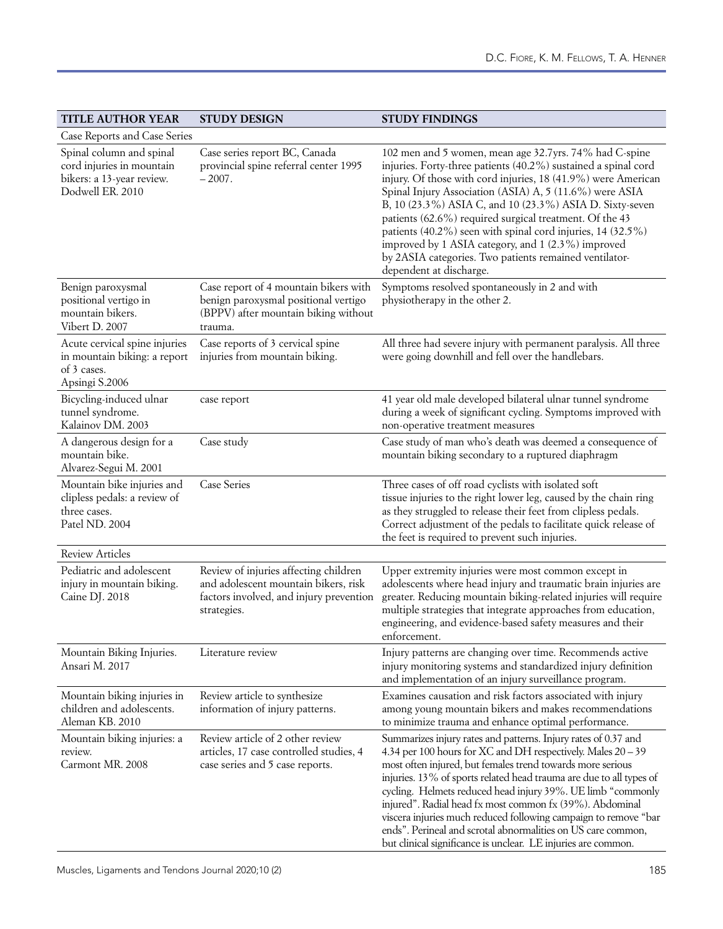| <b>TITLE AUTHOR YEAR</b>                                                                               | <b>STUDY DESIGN</b>                                                                                                                     | <b>STUDY FINDINGS</b>                                                                                                                                                                                                                                                                                                                                                                                                                                                                                                                                                                              |
|--------------------------------------------------------------------------------------------------------|-----------------------------------------------------------------------------------------------------------------------------------------|----------------------------------------------------------------------------------------------------------------------------------------------------------------------------------------------------------------------------------------------------------------------------------------------------------------------------------------------------------------------------------------------------------------------------------------------------------------------------------------------------------------------------------------------------------------------------------------------------|
| Case Reports and Case Series                                                                           |                                                                                                                                         |                                                                                                                                                                                                                                                                                                                                                                                                                                                                                                                                                                                                    |
| Spinal column and spinal<br>cord injuries in mountain<br>bikers: a 13-year review.<br>Dodwell ER. 2010 | Case series report BC, Canada<br>provincial spine referral center 1995<br>$-2007.$                                                      | 102 men and 5 women, mean age 32.7yrs. 74% had C-spine<br>injuries. Forty-three patients (40.2%) sustained a spinal cord<br>injury. Of those with cord injuries, 18 (41.9%) were American<br>Spinal Injury Association (ASIA) A, 5 (11.6%) were ASIA<br>B, 10 (23.3%) ASIA C, and 10 (23.3%) ASIA D. Sixty-seven<br>patients (62.6%) required surgical treatment. Of the 43<br>patients (40.2%) seen with spinal cord injuries, 14 (32.5%)<br>improved by 1 ASIA category, and 1 (2.3%) improved<br>by 2ASIA categories. Two patients remained ventilator-<br>dependent at discharge.              |
| Benign paroxysmal<br>positional vertigo in<br>mountain bikers.<br>Vibert D. 2007                       | Case report of 4 mountain bikers with<br>benign paroxysmal positional vertigo<br>(BPPV) after mountain biking without<br>trauma.        | Symptoms resolved spontaneously in 2 and with<br>physiotherapy in the other 2.                                                                                                                                                                                                                                                                                                                                                                                                                                                                                                                     |
| Acute cervical spine injuries<br>in mountain biking: a report<br>of 3 cases.<br>Apsingi S.2006         | Case reports of 3 cervical spine<br>injuries from mountain biking.                                                                      | All three had severe injury with permanent paralysis. All three<br>were going downhill and fell over the handlebars.                                                                                                                                                                                                                                                                                                                                                                                                                                                                               |
| Bicycling-induced ulnar<br>tunnel syndrome.<br>Kalainov DM. 2003                                       | case report                                                                                                                             | 41 year old male developed bilateral ulnar tunnel syndrome<br>during a week of significant cycling. Symptoms improved with<br>non-operative treatment measures                                                                                                                                                                                                                                                                                                                                                                                                                                     |
| A dangerous design for a<br>mountain bike.<br>Alvarez-Segui M. 2001                                    | Case study                                                                                                                              | Case study of man who's death was deemed a consequence of<br>mountain biking secondary to a ruptured diaphragm                                                                                                                                                                                                                                                                                                                                                                                                                                                                                     |
| Mountain bike injuries and<br>clipless pedals: a review of<br>three cases.<br>Patel ND. 2004           | <b>Case Series</b>                                                                                                                      | Three cases of off road cyclists with isolated soft<br>tissue injuries to the right lower leg, caused by the chain ring<br>as they struggled to release their feet from clipless pedals.<br>Correct adjustment of the pedals to facilitate quick release of<br>the feet is required to prevent such injuries.                                                                                                                                                                                                                                                                                      |
| <b>Review Articles</b>                                                                                 |                                                                                                                                         |                                                                                                                                                                                                                                                                                                                                                                                                                                                                                                                                                                                                    |
| Pediatric and adolescent<br>injury in mountain biking.<br>Caine DJ. 2018                               | Review of injuries affecting children<br>and adolescent mountain bikers, risk<br>factors involved, and injury prevention<br>strategies. | Upper extremity injuries were most common except in<br>adolescents where head injury and traumatic brain injuries are<br>greater. Reducing mountain biking-related injuries will require<br>multiple strategies that integrate approaches from education,<br>engineering, and evidence-based safety measures and their<br>enforcement.                                                                                                                                                                                                                                                             |
| Mountain Biking Injuries.<br>Ansari M. 2017                                                            | Literature review                                                                                                                       | Injury patterns are changing over time. Recommends active<br>injury monitoring systems and standardized injury definition<br>and implementation of an injury surveillance program.                                                                                                                                                                                                                                                                                                                                                                                                                 |
| Mountain biking injuries in<br>children and adolescents.<br>Aleman KB. 2010                            | Review article to synthesize<br>information of injury patterns.                                                                         | Examines causation and risk factors associated with injury<br>among young mountain bikers and makes recommendations<br>to minimize trauma and enhance optimal performance.                                                                                                                                                                                                                                                                                                                                                                                                                         |
| Mountain biking injuries: a<br>review.<br>Carmont MR. 2008                                             | Review article of 2 other review<br>articles, 17 case controlled studies, 4<br>case series and 5 case reports.                          | Summarizes injury rates and patterns. Injury rates of 0.37 and<br>4.34 per 100 hours for XC and DH respectively. Males 20 - 39<br>most often injured, but females trend towards more serious<br>injuries. 13% of sports related head trauma are due to all types of<br>cycling. Helmets reduced head injury 39%. UE limb "commonly<br>injured". Radial head fx most common fx (39%). Abdominal<br>viscera injuries much reduced following campaign to remove "bar<br>ends". Perineal and scrotal abnormalities on US care common,<br>but clinical significance is unclear. LE injuries are common. |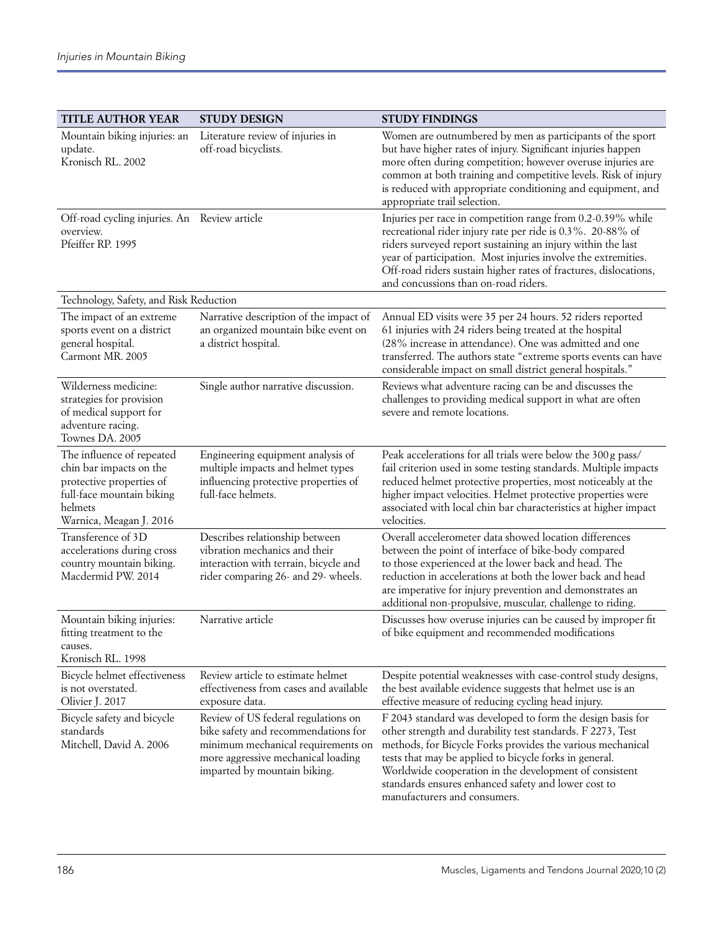| <b>TITLE AUTHOR YEAR</b>                                                                                                                            | <b>STUDY DESIGN</b>                                                                                                                                                                    | <b>STUDY FINDINGS</b>                                                                                                                                                                                                                                                                                                                                                                             |
|-----------------------------------------------------------------------------------------------------------------------------------------------------|----------------------------------------------------------------------------------------------------------------------------------------------------------------------------------------|---------------------------------------------------------------------------------------------------------------------------------------------------------------------------------------------------------------------------------------------------------------------------------------------------------------------------------------------------------------------------------------------------|
| Mountain biking injuries: an<br>update.<br>Kronisch RL. 2002                                                                                        | Literature review of injuries in<br>off-road bicyclists.                                                                                                                               | Women are outnumbered by men as participants of the sport<br>but have higher rates of injury. Significant injuries happen<br>more often during competition; however overuse injuries are<br>common at both training and competitive levels. Risk of injury<br>is reduced with appropriate conditioning and equipment, and<br>appropriate trail selection.                                         |
| Off-road cycling injuries. An Review article<br>overview.<br>Pfeiffer RP. 1995                                                                      |                                                                                                                                                                                        | Injuries per race in competition range from 0.2-0.39% while<br>recreational rider injury rate per ride is 0.3%. 20-88% of<br>riders surveyed report sustaining an injury within the last<br>year of participation. Most injuries involve the extremities.<br>Off-road riders sustain higher rates of fractures, dislocations,<br>and concussions than on-road riders.                             |
| Technology, Safety, and Risk Reduction                                                                                                              |                                                                                                                                                                                        |                                                                                                                                                                                                                                                                                                                                                                                                   |
| The impact of an extreme<br>sports event on a district<br>general hospital.<br>Carmont MR. 2005                                                     | Narrative description of the impact of<br>an organized mountain bike event on<br>a district hospital.                                                                                  | Annual ED visits were 35 per 24 hours. 52 riders reported<br>61 injuries with 24 riders being treated at the hospital<br>(28% increase in attendance). One was admitted and one<br>transferred. The authors state "extreme sports events can have<br>considerable impact on small district general hospitals."                                                                                    |
| Wilderness medicine:<br>strategies for provision<br>of medical support for<br>adventure racing.<br>Townes DA. 2005                                  | Single author narrative discussion.                                                                                                                                                    | Reviews what adventure racing can be and discusses the<br>challenges to providing medical support in what are often<br>severe and remote locations.                                                                                                                                                                                                                                               |
| The influence of repeated<br>chin bar impacts on the<br>protective properties of<br>full-face mountain biking<br>helmets<br>Warnica, Meagan J. 2016 | Engineering equipment analysis of<br>multiple impacts and helmet types<br>influencing protective properties of<br>full-face helmets.                                                   | Peak accelerations for all trials were below the 300 g pass/<br>fail criterion used in some testing standards. Multiple impacts<br>reduced helmet protective properties, most noticeably at the<br>higher impact velocities. Helmet protective properties were<br>associated with local chin bar characteristics at higher impact<br>velocities.                                                  |
| Transference of 3D<br>accelerations during cross<br>country mountain biking.<br>Macdermid PW. 2014                                                  | Describes relationship between<br>vibration mechanics and their<br>interaction with terrain, bicycle and<br>rider comparing 26- and 29- wheels.                                        | Overall accelerometer data showed location differences<br>between the point of interface of bike-body compared<br>to those experienced at the lower back and head. The<br>reduction in accelerations at both the lower back and head<br>are imperative for injury prevention and demonstrates an<br>additional non-propulsive, muscular, challenge to riding.                                     |
| Mountain biking injuries:<br>fitting treatment to the<br>causes.<br>Kronisch RL. 1998                                                               | Narrative article                                                                                                                                                                      | Discusses how overuse injuries can be caused by improper fit<br>of bike equipment and recommended modifications                                                                                                                                                                                                                                                                                   |
| Bicycle helmet effectiveness<br>is not overstated.<br>Olivier J. 2017                                                                               | Review article to estimate helmet<br>effectiveness from cases and available<br>exposure data.                                                                                          | Despite potential weaknesses with case-control study designs,<br>the best available evidence suggests that helmet use is an<br>effective measure of reducing cycling head injury.                                                                                                                                                                                                                 |
| Bicycle safety and bicycle<br>standards<br>Mitchell, David A. 2006                                                                                  | Review of US federal regulations on<br>bike safety and recommendations for<br>minimum mechanical requirements on<br>more aggressive mechanical loading<br>imparted by mountain biking. | F 2043 standard was developed to form the design basis for<br>other strength and durability test standards. F 2273, Test<br>methods, for Bicycle Forks provides the various mechanical<br>tests that may be applied to bicycle forks in general.<br>Worldwide cooperation in the development of consistent<br>standards ensures enhanced safety and lower cost to<br>manufacturers and consumers. |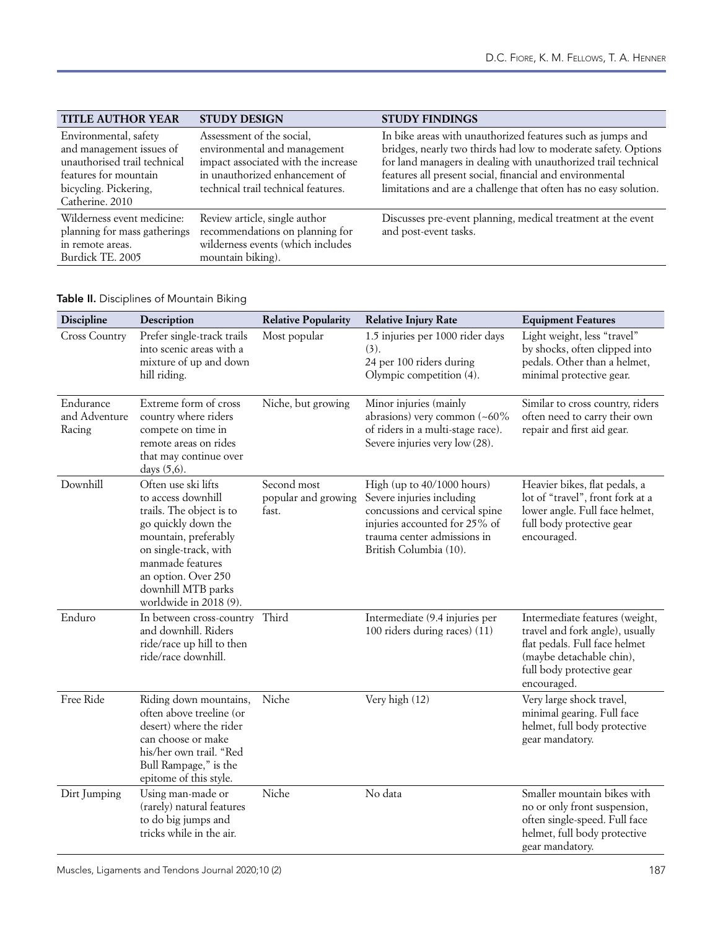| <b>TITLE AUTHOR YEAR</b>                                                                                                                               | <b>STUDY DESIGN</b>                                                                                                                                                       | <b>STUDY FINDINGS</b>                                                                                                                                                                                                                                                                                                          |
|--------------------------------------------------------------------------------------------------------------------------------------------------------|---------------------------------------------------------------------------------------------------------------------------------------------------------------------------|--------------------------------------------------------------------------------------------------------------------------------------------------------------------------------------------------------------------------------------------------------------------------------------------------------------------------------|
| Environmental, safety<br>and management issues of<br>unauthorised trail technical<br>features for mountain<br>bicycling. Pickering,<br>Catherine. 2010 | Assessment of the social,<br>environmental and management<br>impact associated with the increase<br>in unauthorized enhancement of<br>technical trail technical features. | In bike areas with unauthorized features such as jumps and<br>bridges, nearly two thirds had low to moderate safety. Options<br>for land managers in dealing with unauthorized trail technical<br>features all present social, financial and environmental<br>limitations and are a challenge that often has no easy solution. |
| Wilderness event medicine:<br>planning for mass gatherings<br>in remote areas.<br>Burdick TE, 2005                                                     | Review article, single author<br>recommendations on planning for<br>wilderness events (which includes<br>mountain biking).                                                | Discusses pre-event planning, medical treatment at the event<br>and post-event tasks.                                                                                                                                                                                                                                          |

# Table II. Disciplines of Mountain Biking

| <b>Discipline</b>                    | Description                                                                                                                                                                                                                              | <b>Relative Popularity</b>                  | <b>Relative Injury Rate</b>                                                                                                                                                         | <b>Equipment Features</b>                                                                                                                                                  |
|--------------------------------------|------------------------------------------------------------------------------------------------------------------------------------------------------------------------------------------------------------------------------------------|---------------------------------------------|-------------------------------------------------------------------------------------------------------------------------------------------------------------------------------------|----------------------------------------------------------------------------------------------------------------------------------------------------------------------------|
| <b>Cross Country</b>                 | Prefer single-track trails<br>into scenic areas with a<br>mixture of up and down<br>hill riding.                                                                                                                                         | Most popular                                | 1.5 injuries per 1000 rider days<br>(3).<br>24 per 100 riders during<br>Olympic competition (4).                                                                                    | Light weight, less "travel"<br>by shocks, often clipped into<br>pedals. Other than a helmet,<br>minimal protective gear.                                                   |
| Endurance<br>and Adventure<br>Racing | Extreme form of cross<br>country where riders<br>compete on time in<br>remote areas on rides<br>that may continue over<br>days (5,6).                                                                                                    | Niche, but growing                          | Minor injuries (mainly<br>abrasions) very common (~60%<br>of riders in a multi-stage race).<br>Severe injuries very low (28).                                                       | Similar to cross country, riders<br>often need to carry their own<br>repair and first aid gear.                                                                            |
| Downhill                             | Often use ski lifts<br>to access downhill<br>trails. The object is to<br>go quickly down the<br>mountain, preferably<br>on single-track, with<br>manmade features<br>an option. Over 250<br>downhill MTB parks<br>worldwide in 2018 (9). | Second most<br>popular and growing<br>fast. | High (up to 40/1000 hours)<br>Severe injuries including<br>concussions and cervical spine<br>injuries accounted for 25% of<br>trauma center admissions in<br>British Columbia (10). | Heavier bikes, flat pedals, a<br>lot of "travel", front fork at a<br>lower angle. Full face helmet,<br>full body protective gear<br>encouraged.                            |
| Enduro                               | In between cross-country Third<br>and downhill. Riders<br>ride/race up hill to then<br>ride/race downhill.                                                                                                                               |                                             | Intermediate (9.4 injuries per<br>100 riders during races) (11)                                                                                                                     | Intermediate features (weight,<br>travel and fork angle), usually<br>flat pedals. Full face helmet<br>(maybe detachable chin),<br>full body protective gear<br>encouraged. |
| Free Ride                            | Riding down mountains,<br>often above treeline (or<br>desert) where the rider<br>can choose or make<br>his/her own trail. "Red<br>Bull Rampage," is the<br>epitome of this style.                                                        | Niche                                       | Very high (12)                                                                                                                                                                      | Very large shock travel,<br>minimal gearing. Full face<br>helmet, full body protective<br>gear mandatory.                                                                  |
| Dirt Jumping                         | Using man-made or<br>(rarely) natural features<br>to do big jumps and<br>tricks while in the air.                                                                                                                                        | Niche                                       | No data                                                                                                                                                                             | Smaller mountain bikes with<br>no or only front suspension,<br>often single-speed. Full face<br>helmet, full body protective<br>gear mandatory.                            |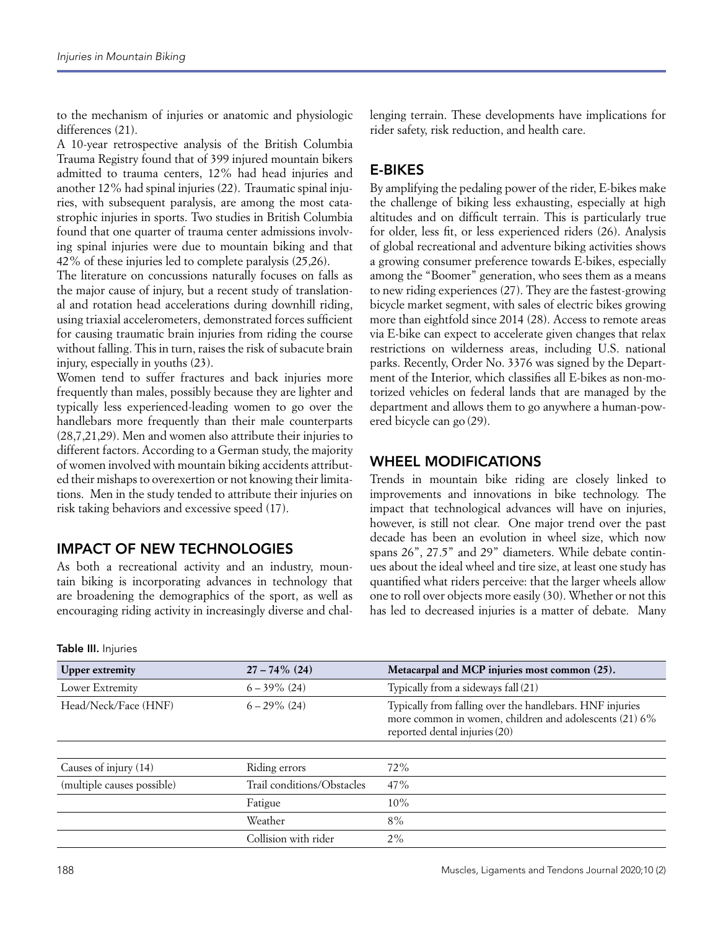to the mechanism of injuries or anatomic and physiologic differences (21).

A 10-year retrospective analysis of the British Columbia Trauma Registry found that of 399 injured mountain bikers admitted to trauma centers, 12% had head injuries and another 12% had spinal injuries (22). Traumatic spinal injuries, with subsequent paralysis, are among the most catastrophic injuries in sports. Two studies in British Columbia found that one quarter of trauma center admissions involving spinal injuries were due to mountain biking and that 42% of these injuries led to complete paralysis (25,26).

The literature on concussions naturally focuses on falls as the major cause of injury, but a recent study of translational and rotation head accelerations during downhill riding, using triaxial accelerometers, demonstrated forces sufficient for causing traumatic brain injuries from riding the course without falling. This in turn, raises the risk of subacute brain injury, especially in youths (23).

Women tend to suffer fractures and back injuries more frequently than males, possibly because they are lighter and typically less experienced-leading women to go over the handlebars more frequently than their male counterparts (28,7,21,29). Men and women also attribute their injuries to different factors. According to a German study, the majority of women involved with mountain biking accidents attributed their mishaps to overexertion or not knowing their limitations. Men in the study tended to attribute their injuries on risk taking behaviors and excessive speed (17).

# IMPACT OF NEW TECHNOLOGIES

As both a recreational activity and an industry, mountain biking is incorporating advances in technology that are broadening the demographics of the sport, as well as encouraging riding activity in increasingly diverse and challenging terrain. These developments have implications for rider safety, risk reduction, and health care.

# E-BIKES

By amplifying the pedaling power of the rider, E-bikes make the challenge of biking less exhausting, especially at high altitudes and on difficult terrain. This is particularly true for older, less fit, or less experienced riders (26). Analysis of global recreational and adventure biking activities shows a growing consumer preference towards E-bikes, especially among the "Boomer" generation, who sees them as a means to new riding experiences (27). They are the fastest-growing bicycle market segment, with sales of electric bikes growing more than eightfold since 2014 (28). Access to remote areas via E-bike can expect to accelerate given changes that relax restrictions on wilderness areas, including U.S. national parks. Recently, Order No. 3376 was signed by the Department of the Interior, which classifies all E-bikes as non-motorized vehicles on federal lands that are managed by the department and allows them to go anywhere a human-powered bicycle can go (29).

# WHEEL MODIFICATIONS

Trends in mountain bike riding are closely linked to improvements and innovations in bike technology. The impact that technological advances will have on injuries, however, is still not clear. One major trend over the past decade has been an evolution in wheel size, which now spans 26", 27.5" and 29" diameters. While debate continues about the ideal wheel and tire size, at least one study has quantified what riders perceive: that the larger wheels allow one to roll over objects more easily (30). Whether or not this has led to decreased injuries is a matter of debate. Many

| <b>Upper extremity</b>     | $27 - 74\%$ (24)           | Metacarpal and MCP injuries most common (25).                                                                                                       |
|----------------------------|----------------------------|-----------------------------------------------------------------------------------------------------------------------------------------------------|
| Lower Extremity            | $6 - 39\%$ (24)            | Typically from a sideways fall (21)                                                                                                                 |
| Head/Neck/Face (HNF)       | $6 - 29\%$ (24)            | Typically from falling over the handlebars. HNF injuries<br>more common in women, children and adolescents (21) 6%<br>reported dental injuries (20) |
|                            |                            |                                                                                                                                                     |
| Causes of injury (14)      | Riding errors              | 72%                                                                                                                                                 |
| (multiple causes possible) | Trail conditions/Obstacles | 47%                                                                                                                                                 |
|                            | Fatigue                    | 10%                                                                                                                                                 |
|                            | Weather                    | $8\%$                                                                                                                                               |
|                            | Collision with rider       | $2\%$                                                                                                                                               |

#### Table III. Injuries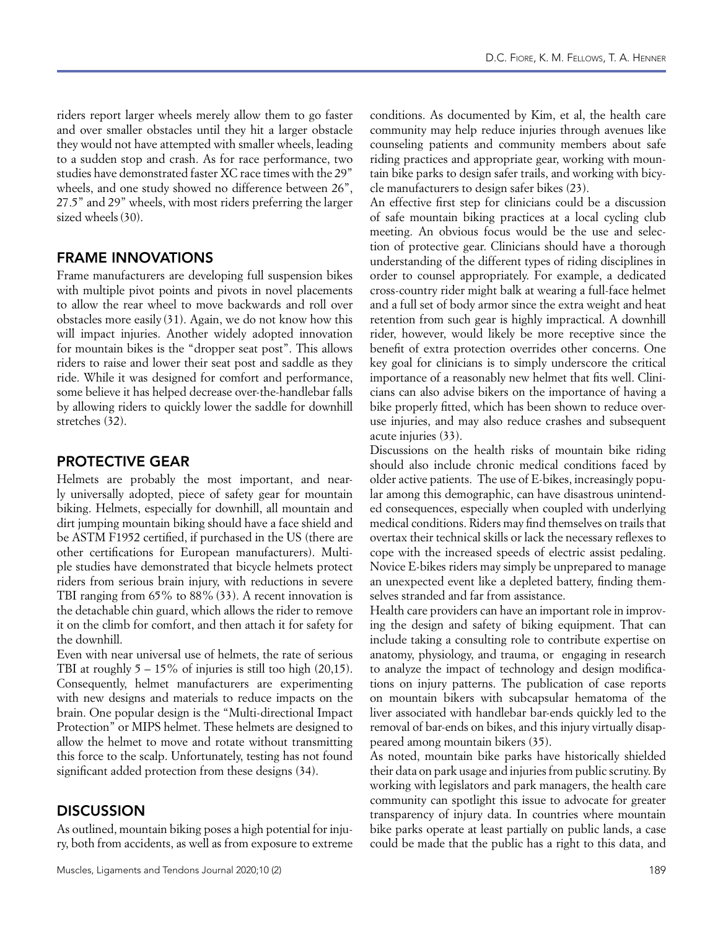riders report larger wheels merely allow them to go faster and over smaller obstacles until they hit a larger obstacle they would not have attempted with smaller wheels, leading to a sudden stop and crash. As for race performance, two studies have demonstrated faster XC race times with the 29" wheels, and one study showed no difference between 26", 27.5" and 29" wheels, with most riders preferring the larger sized wheels (30).

# FRAME INNOVATIONS

Frame manufacturers are developing full suspension bikes with multiple pivot points and pivots in novel placements to allow the rear wheel to move backwards and roll over obstacles more easily (31). Again, we do not know how this will impact injuries. Another widely adopted innovation for mountain bikes is the "dropper seat post". This allows riders to raise and lower their seat post and saddle as they ride. While it was designed for comfort and performance, some believe it has helped decrease over-the-handlebar falls by allowing riders to quickly lower the saddle for downhill stretches (32).

### PROTECTIVE GEAR

Helmets are probably the most important, and nearly universally adopted, piece of safety gear for mountain biking. Helmets, especially for downhill, all mountain and dirt jumping mountain biking should have a face shield and be ASTM F1952 certified, if purchased in the US (there are other certifications for European manufacturers). Multiple studies have demonstrated that bicycle helmets protect riders from serious brain injury, with reductions in severe TBI ranging from 65% to 88% (33). A recent innovation is the detachable chin guard, which allows the rider to remove it on the climb for comfort, and then attach it for safety for the downhill.

Even with near universal use of helmets, the rate of serious TBI at roughly  $5 - 15\%$  of injuries is still too high  $(20,15)$ . Consequently, helmet manufacturers are experimenting with new designs and materials to reduce impacts on the brain. One popular design is the "Multi-directional Impact Protection" or MIPS helmet. These helmets are designed to allow the helmet to move and rotate without transmitting this force to the scalp. Unfortunately, testing has not found significant added protection from these designs (34).

# **DISCUSSION**

As outlined, mountain biking poses a high potential for injury, both from accidents, as well as from exposure to extreme

conditions. As documented by Kim, et al, the health care community may help reduce injuries through avenues like counseling patients and community members about safe riding practices and appropriate gear, working with mountain bike parks to design safer trails, and working with bicycle manufacturers to design safer bikes (23).

An effective first step for clinicians could be a discussion of safe mountain biking practices at a local cycling club meeting. An obvious focus would be the use and selection of protective gear. Clinicians should have a thorough understanding of the different types of riding disciplines in order to counsel appropriately. For example, a dedicated cross-country rider might balk at wearing a full-face helmet and a full set of body armor since the extra weight and heat retention from such gear is highly impractical. A downhill rider, however, would likely be more receptive since the benefit of extra protection overrides other concerns. One key goal for clinicians is to simply underscore the critical importance of a reasonably new helmet that fits well. Clinicians can also advise bikers on the importance of having a bike properly fitted, which has been shown to reduce overuse injuries, and may also reduce crashes and subsequent acute injuries (33).

Discussions on the health risks of mountain bike riding should also include chronic medical conditions faced by older active patients. The use of E-bikes, increasingly popular among this demographic, can have disastrous unintended consequences, especially when coupled with underlying medical conditions. Riders may find themselves on trails that overtax their technical skills or lack the necessary reflexes to cope with the increased speeds of electric assist pedaling. Novice E-bikes riders may simply be unprepared to manage an unexpected event like a depleted battery, finding themselves stranded and far from assistance.

Health care providers can have an important role in improving the design and safety of biking equipment. That can include taking a consulting role to contribute expertise on anatomy, physiology, and trauma, or engaging in research to analyze the impact of technology and design modifications on injury patterns. The publication of case reports on mountain bikers with subcapsular hematoma of the liver associated with handlebar bar-ends quickly led to the removal of bar-ends on bikes, and this injury virtually disappeared among mountain bikers (35).

As noted, mountain bike parks have historically shielded their data on park usage and injuries from public scrutiny. By working with legislators and park managers, the health care community can spotlight this issue to advocate for greater transparency of injury data. In countries where mountain bike parks operate at least partially on public lands, a case could be made that the public has a right to this data, and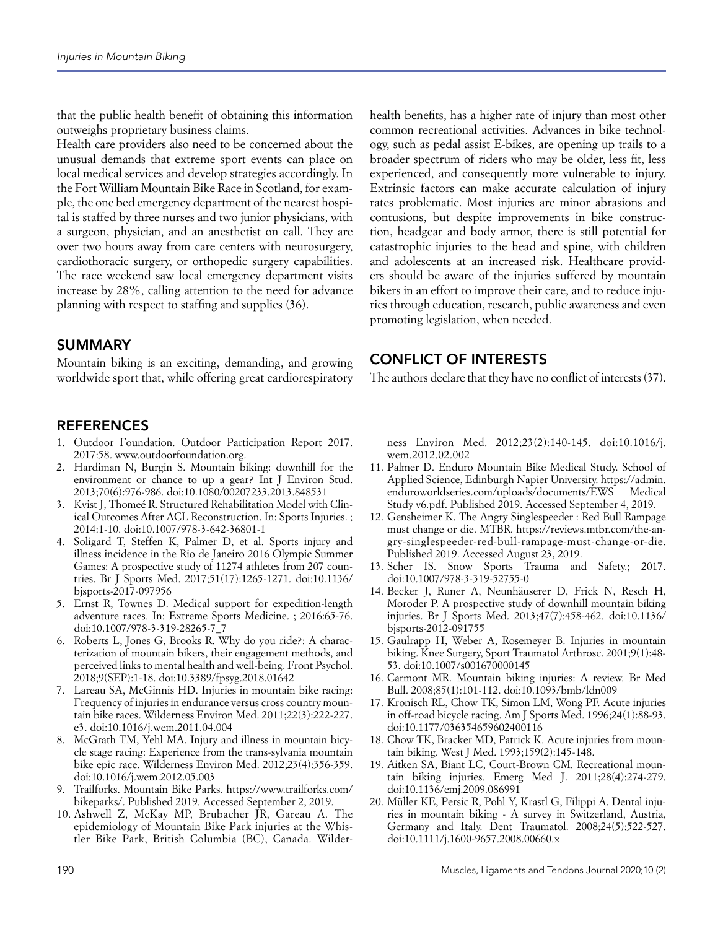that the public health benefit of obtaining this information outweighs proprietary business claims.

Health care providers also need to be concerned about the unusual demands that extreme sport events can place on local medical services and develop strategies accordingly. In the Fort William Mountain Bike Race in Scotland, for example, the one bed emergency department of the nearest hospital is staffed by three nurses and two junior physicians, with a surgeon, physician, and an anesthetist on call. They are over two hours away from care centers with neurosurgery, cardiothoracic surgery, or orthopedic surgery capabilities. The race weekend saw local emergency department visits increase by 28%, calling attention to the need for advance planning with respect to staffing and supplies (36).

#### SUMMARY

Mountain biking is an exciting, demanding, and growing worldwide sport that, while offering great cardiorespiratory

#### **REFERENCES**

- 1. Outdoor Foundation. Outdoor Participation Report 2017. 2017:58. www.outdoorfoundation.org.
- 2. Hardiman N, Burgin S. Mountain biking: downhill for the environment or chance to up a gear? Int J Environ Stud. 2013;70(6):976-986. doi:10.1080/00207233.2013.848531
- 3. Kvist J, Thomeé R. Structured Rehabilitation Model with Clinical Outcomes After ACL Reconstruction. In: Sports Injuries. ; 2014:1-10. doi:10.1007/978-3-642-36801-1
- Soligard T, Steffen K, Palmer D, et al. Sports injury and illness incidence in the Rio de Janeiro 2016 Olympic Summer Games: A prospective study of 11274 athletes from 207 countries. Br J Sports Med. 2017;51(17):1265-1271. doi:10.1136/ bjsports-2017-097956
- 5. Ernst R, Townes D. Medical support for expedition-length adventure races. In: Extreme Sports Medicine. ; 2016:65-76. doi:10.1007/978-3-319-28265-7\_7
- Roberts L, Jones G, Brooks R. Why do you ride?: A characterization of mountain bikers, their engagement methods, and perceived links to mental health and well-being. Front Psychol. 2018;9(SEP):1-18. doi:10.3389/fpsyg.2018.01642
- 7. Lareau SA, McGinnis HD. Injuries in mountain bike racing: Frequency of injuries in endurance versus cross country mountain bike races. Wilderness Environ Med. 2011;22(3):222-227. e3. doi:10.1016/j.wem.2011.04.004
- McGrath TM, Yehl MA. Injury and illness in mountain bicycle stage racing: Experience from the trans-sylvania mountain bike epic race. Wilderness Environ Med. 2012;23(4):356-359. doi:10.1016/j.wem.2012.05.003
- 9. Trailforks. Mountain Bike Parks. https://www.trailforks.com/ bikeparks/. Published 2019. Accessed September 2, 2019.
- 10. Ashwell Z, McKay MP, Brubacher JR, Gareau A. The epidemiology of Mountain Bike Park injuries at the Whistler Bike Park, British Columbia (BC), Canada. Wilder-

health benefits, has a higher rate of injury than most other common recreational activities. Advances in bike technology, such as pedal assist E-bikes, are opening up trails to a broader spectrum of riders who may be older, less fit, less experienced, and consequently more vulnerable to injury. Extrinsic factors can make accurate calculation of injury rates problematic. Most injuries are minor abrasions and contusions, but despite improvements in bike construction, headgear and body armor, there is still potential for catastrophic injuries to the head and spine, with children and adolescents at an increased risk. Healthcare providers should be aware of the injuries suffered by mountain bikers in an effort to improve their care, and to reduce injuries through education, research, public awareness and even promoting legislation, when needed.

## CONFLICT OF INTERESTS

The authors declare that they have no conflict of interests (37).

ness Environ Med. 2012;23(2):140-145. doi:10.1016/j. wem.2012.02.002

- 11. Palmer D. Enduro Mountain Bike Medical Study. School of Applied Science, Edinburgh Napier University. https://admin. enduroworldseries.com/uploads/documents/EWS Medical Study v6.pdf. Published 2019. Accessed September 4, 2019.
- 12. Gensheimer K. The Angry Singlespeeder : Red Bull Rampage must change or die. MTBR. https://reviews.mtbr.com/the-angry-singlespeeder-red-bull-rampage-must-change-or-die. Published 2019. Accessed August 23, 2019.
- 13. Scher IS. Snow Sports Trauma and Safety.; 2017. doi:10.1007/978-3-319-52755-0
- 14. Becker J, Runer A, Neunhäuserer D, Frick N, Resch H, Moroder P. A prospective study of downhill mountain biking injuries. Br J Sports Med. 2013;47(7):458-462. doi:10.1136/ bjsports-2012-091755
- 15. Gaulrapp H, Weber A, Rosemeyer B. Injuries in mountain biking. Knee Surgery, Sport Traumatol Arthrosc. 2001;9(1):48- 53. doi:10.1007/s001670000145
- 16. Carmont MR. Mountain biking injuries: A review. Br Med Bull. 2008;85(1):101-112. doi:10.1093/bmb/ldn009
- 17. Kronisch RL, Chow TK, Simon LM, Wong PF. Acute injuries in off-road bicycle racing. Am J Sports Med. 1996;24(1):88-93. doi:10.1177/036354659602400116
- 18. Chow TK, Bracker MD, Patrick K. Acute injuries from mountain biking. West J Med. 1993;159(2):145-148.
- 19. Aitken SA, Biant LC, Court-Brown CM. Recreational mountain biking injuries. Emerg Med J. 2011;28(4):274-279. doi:10.1136/emj.2009.086991
- 20. Müller KE, Persic R, Pohl Y, Krastl G, Filippi A. Dental injuries in mountain biking - A survey in Switzerland, Austria, Germany and Italy. Dent Traumatol. 2008;24(5):522-527. doi:10.1111/j.1600-9657.2008.00660.x